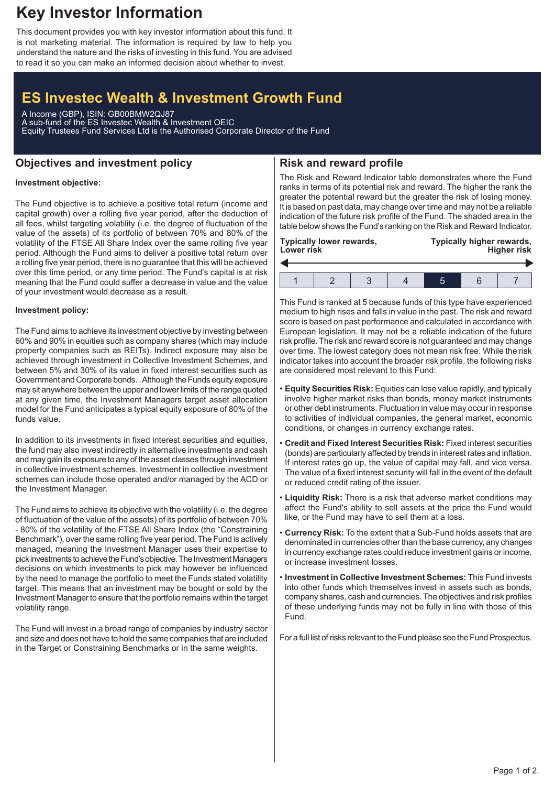## **Key Investor Information**

This document provides you with key investor information about this fund. It is not marketing material. The information is required by law to help you understand the nature and the risks of investing in this fund. You are advised to read it so you can make an informed decision about whether to invest.

# **ES Investec Wealth & Investment Growth Fund**

A Income (GBP), ISIN: GB00BMW2QJ87 A sub-fund of the ES Investec Wealth & Investment OEIC Equity Trustees Fund Services Ltd is the Authorised Corporate Director of the Fund

### **Objectives and investment policy**

## **Risk and reward profile**

### **Investment objective:**

The Fund objective is to achieve a positive total return (income and capital growth) over a rolling five year period, after the deduction of all fees, whilst targeting volatility (i.e. the degree of fluctuation of the value of the assets) of its portfolio of between 70% and 80% of the volatility of the FTSE All Share Index over the same rolling five year period. Although the Fund aims to deliver a positive total return over a rolling five year period, there is no guarantee that this will be achieved over this time period, or any time period. The Fund's capital is at risk meaning that the Fund could suffer a decrease in value and the value of your investment would decrease as a result.

#### **Investment policy:**

The Fund aims to achieve its investment objective by investing between 60% and 90% in equities such as company shares (which may include property companies such as REITs). Indirect exposure may also be achieved through investment in Collective Investment Schemes, and between 5% and 30% of its value in fixed interest securities such as Government and Corporate bonds. .Although the Funds equity exposure may sit anywhere between the upper and lower limits of the range quoted at any given time, the Investment Managers target asset allocation model for the Fund anticipates a typical equity exposure of 80% of the funds value.

In addition to its investments in fixed interest securities and equities, the fund may also invest indirectly in alternative investments and cash and may gain its exposure to any of the asset classes through investment in collective investment schemes. Investment in collective investment schemes can include those operated and/or managed by the ACD or the Investment Manager.

The Fund aims to achieve its objective with the volatility (i.e. the degree of fluctuation of the value of the assets) of its portfolio of between 70% - 80% of the volatility of the FTSE All Share Index (the "Constraining Benchmark"), over the same rolling five year period. The Fund is actively managed, meaning the Investment Manager uses their expertise to pick investments to achieve the Fund's objective. The Investment Managers decisions on which investments to pick may however be influenced by the need to manage the portfolio to meet the Funds stated volatility target. This means that an investment may be bought or sold by the Investment Manager to ensure that the portfolio remains within the target volatility range.

The Fund will invest in a broad range of companies by industry sector and size and does not have to hold the same companies that are included in the Target or Constraining Benchmarks or in the same weights.

The Risk and Reward Indicator table demonstrates where the Fund ranks in terms of its potential risk and reward. The higher the rank the greater the potential reward but the greater the risk of losing money. It is based on past data, may change over time and may not be a reliable indication of the future risk profile of the Fund. The shaded area in the table below shows the Fund's ranking on the Risk and Reward Indicator.

| <b>Typically lower rewards,</b><br>Lower risk |  |  |  | Typically higher rewards,<br><b>Higher risk</b> |  |  |
|-----------------------------------------------|--|--|--|-------------------------------------------------|--|--|
|                                               |  |  |  |                                                 |  |  |
|                                               |  |  |  |                                                 |  |  |

This Fund is ranked at 5 because funds of this type have experienced medium to high rises and falls in value in the past. The risk and reward score is based on past performance and calculated in accordance with European legislation. It may not be a reliable indication of the future risk profile. The risk and reward score is not guaranteed and may change over time. The lowest category does not mean risk free. While the risk indicator takes into account the broader risk profile, the following risks are considered most relevant to this Fund:

- **Equity Securities Risk:** Equities can lose value rapidly, and typically involve higher market risks than bonds, money market instruments or other debt instruments. Fluctuation in value may occur in response to activities of individual companies, the general market, economic conditions, or changes in currency exchange rates.
- **Credit and Fixed Interest Securities Risk:** Fixed interest securities (bonds) are particularly affected by trends in interest rates and inflation. If interest rates go up, the value of capital may fall, and vice versa. The value of a fixed interest security will fall in the event of the default or reduced credit rating of the issuer.
- **Liquidity Risk:** There is a risk that adverse market conditions may affect the Fund's ability to sell assets at the price the Fund would like, or the Fund may have to sell them at a loss.
- **Currency Risk:** To the extent that a Sub-Fund holds assets that are denominated in currencies other than the base currency, any changes in currency exchange rates could reduce investment gains or income, or increase investment losses.
- **Investment in Collective Investment Schemes:** This Fund invests into other funds which themselves invest in assets such as bonds, company shares, cash and currencies. The objectives and risk profiles of these underlying funds may not be fully in line with those of this Fund.

For a full list of risks relevant to the Fund please see the Fund Prospectus.